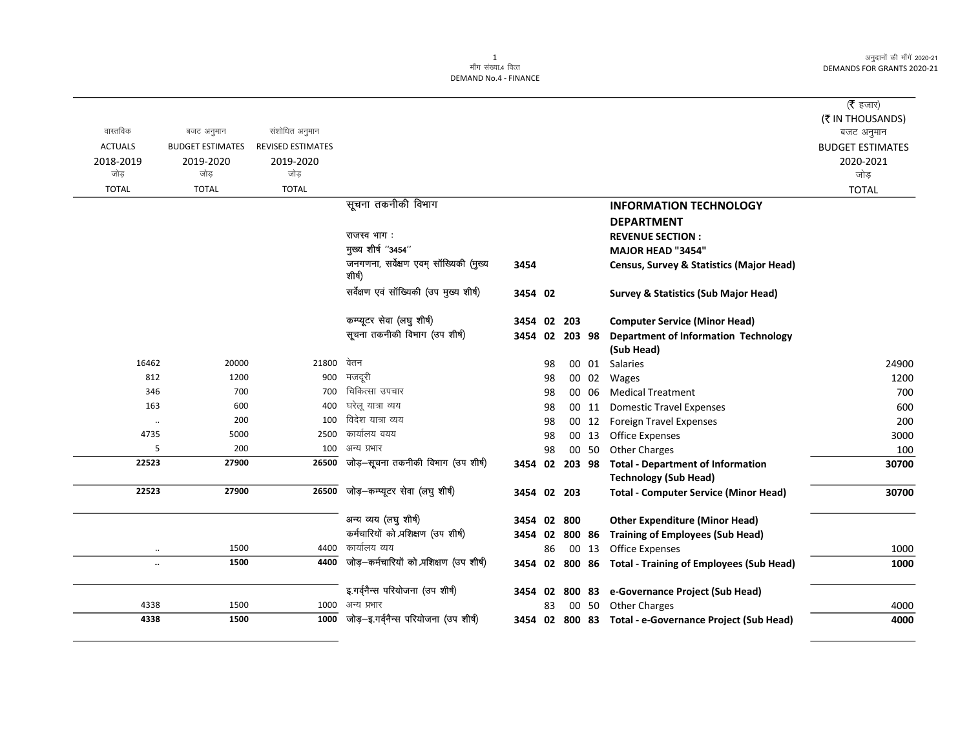अनुदानों की माँगें 2020-21 DEMANDS FOR GRANTS 2020-21

|                |                         |                   |                                                  |                |    |        |        |                                                                          | ( $\bar{\tau}$ हजार)    |
|----------------|-------------------------|-------------------|--------------------------------------------------|----------------|----|--------|--------|--------------------------------------------------------------------------|-------------------------|
|                |                         |                   |                                                  |                |    |        |        |                                                                          | (₹ IN THOUSANDS)        |
| वास्तविक       | बजट अनुमान              | संशोधित अनुमान    |                                                  |                |    |        |        |                                                                          | बजट अनुमान              |
| <b>ACTUALS</b> | <b>BUDGET ESTIMATES</b> | REVISED ESTIMATES |                                                  |                |    |        |        |                                                                          | <b>BUDGET ESTIMATES</b> |
| 2018-2019      | 2019-2020               | 2019-2020         |                                                  |                |    |        |        |                                                                          | 2020-2021               |
| जोड            | जोड                     | जोड               |                                                  |                |    |        |        |                                                                          | जोड़                    |
| <b>TOTAL</b>   | <b>TOTAL</b>            | <b>TOTAL</b>      |                                                  |                |    |        |        |                                                                          | <b>TOTAL</b>            |
|                |                         |                   | सूचना तकनीकी विभाग                               |                |    |        |        | <b>INFORMATION TECHNOLOGY</b>                                            |                         |
|                |                         |                   |                                                  |                |    |        |        | <b>DEPARTMENT</b>                                                        |                         |
|                |                         |                   | राजस्व भाग:                                      |                |    |        |        | <b>REVENUE SECTION:</b>                                                  |                         |
|                |                         |                   | मुख्य शीर्ष "3454"                               |                |    |        |        | <b>MAJOR HEAD "3454"</b>                                                 |                         |
|                |                         |                   | जनगणना, सर्वेक्षण एवम् सॉख्यिकी (मुख्य<br>शीर्ष) | 3454           |    |        |        | <b>Census, Survey &amp; Statistics (Major Head)</b>                      |                         |
|                |                         |                   | सर्वेक्षण एवं सॉख्यिकी (उप मुख्य शीर्ष)          | 3454 02        |    |        |        | <b>Survey &amp; Statistics (Sub Major Head)</b>                          |                         |
|                |                         |                   | कम्प्यूटर सेवा (लघु शीर्ष)                       | 3454 02        |    | 203    |        | <b>Computer Service (Minor Head)</b>                                     |                         |
|                |                         |                   | सूचना तकनीकी विभाग (उप शीर्ष)                    | 3454 02 203 98 |    |        |        | <b>Department of Information Technology</b>                              |                         |
|                |                         |                   |                                                  |                |    |        |        | (Sub Head)                                                               |                         |
| 16462          | 20000                   | 21800             | वेतन                                             |                | 98 |        | 00 01  | <b>Salaries</b>                                                          | 24900                   |
| 812            | 1200                    | 900               | मजदूरी                                           |                | 98 |        | 00 02  | Wages                                                                    | 1200                    |
| 346            | 700                     | 700               | चिकित्सा उपचार                                   |                | 98 |        | 00 06  | <b>Medical Treatment</b>                                                 | 700                     |
| 163            | 600                     | 400               | घरेलू यात्रा व्यय                                |                | 98 |        | 00 11  | <b>Domestic Travel Expenses</b>                                          | 600                     |
| $\ldots$       | 200                     | 100               | विदेश यात्रा व्यय                                |                | 98 |        | 00 12  | <b>Foreign Travel Expenses</b>                                           | 200                     |
| 4735           | 5000                    | 2500              | कार्यालय वयय                                     |                | 98 |        | 00 13  | <b>Office Expenses</b>                                                   | 3000                    |
| 5              | 200                     | 100               | अन्य प्रभार                                      |                | 98 |        | 00 50  | <b>Other Charges</b>                                                     | 100                     |
| 22523          | 27900                   | 26500             | जोड़-सूचना तकनीकी विभाग (उप शीर्ष)               | 3454 02        |    |        |        | 203 98 Total - Department of Information<br><b>Technology (Sub Head)</b> | 30700                   |
| 22523          | 27900                   | 26500             | जोड़-कम्प्यूटर सेवा (लघु शीर्ष)                  | 3454 02 203    |    |        |        | <b>Total - Computer Service (Minor Head)</b>                             | 30700                   |
|                |                         |                   | अन्य व्यय (लघु शीर्ष)                            | 3454 02        |    | 800    |        | <b>Other Expenditure (Minor Head)</b>                                    |                         |
|                |                         |                   | कर्मचारियों को प्रशिक्षण (उप शीर्ष)              | 3454 02        |    | 800 86 |        | <b>Training of Employees (Sub Head)</b>                                  |                         |
| $\cdot\cdot$   | 1500                    | 4400              | कार्यालय व्यय                                    |                | 86 |        | 00 13  | <b>Office Expenses</b>                                                   | 1000                    |
| $\ddotsc$      | 1500                    | 4400              | जोड़-कर्मचारियों को प्रशिक्षण (उप शीर्ष)         | 3454 02        |    |        |        | 800 86 Total - Training of Employees (Sub Head)                          | 1000                    |
|                |                         |                   | इ.गर्वनैन्स परियोजना (उप शीर्ष)                  | 3454 02        |    |        | 800 83 | e-Governance Project (Sub Head)                                          |                         |
| 4338           | 1500                    | 1000              | अन्य प्रभार                                      |                | 83 |        |        | 00 50 Other Charges                                                      | 4000                    |
| 4338           | 1500                    | 1000              | जोड़-इ.गर्वनैन्स परियोजना (उप शीर्ष)             |                |    |        |        | 3454 02 800 83 Total - e-Governance Project (Sub Head)                   | 4000                    |

1<br>माँग संख्या.4 वित्त

DEMAND No.4 - FINANCE